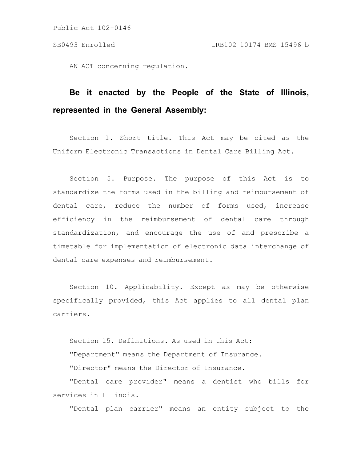Public Act 102-0146

AN ACT concerning regulation.

## **Be it enacted by the People of the State of Illinois, represented in the General Assembly:**

Section 1. Short title. This Act may be cited as the Uniform Electronic Transactions in Dental Care Billing Act.

Section 5. Purpose. The purpose of this Act is to standardize the forms used in the billing and reimbursement of dental care, reduce the number of forms used, increase efficiency in the reimbursement of dental care through standardization, and encourage the use of and prescribe a timetable for implementation of electronic data interchange of dental care expenses and reimbursement.

Section 10. Applicability. Except as may be otherwise specifically provided, this Act applies to all dental plan carriers.

Section 15. Definitions. As used in this Act: "Department" means the Department of Insurance.

"Director" means the Director of Insurance.

"Dental care provider" means a dentist who bills for services in Illinois.

"Dental plan carrier" means an entity subject to the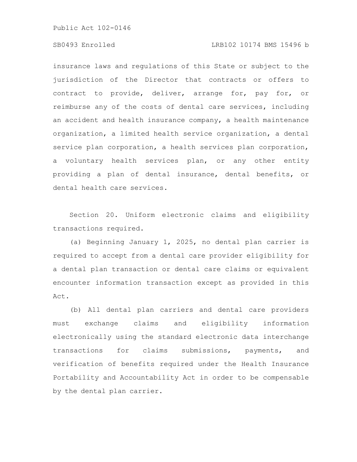Public Act 102-0146

## SB0493 Enrolled LRB102 10174 BMS 15496 b

insurance laws and regulations of this State or subject to the jurisdiction of the Director that contracts or offers to contract to provide, deliver, arrange for, pay for, or reimburse any of the costs of dental care services, including an accident and health insurance company, a health maintenance organization, a limited health service organization, a dental service plan corporation, a health services plan corporation, a voluntary health services plan, or any other entity providing a plan of dental insurance, dental benefits, or dental health care services.

Section 20. Uniform electronic claims and eligibility transactions required.

(a) Beginning January 1, 2025, no dental plan carrier is required to accept from a dental care provider eligibility for a dental plan transaction or dental care claims or equivalent encounter information transaction except as provided in this Act.

(b) All dental plan carriers and dental care providers must exchange claims and eligibility information electronically using the standard electronic data interchange transactions for claims submissions, payments, and verification of benefits required under the Health Insurance Portability and Accountability Act in order to be compensable by the dental plan carrier.